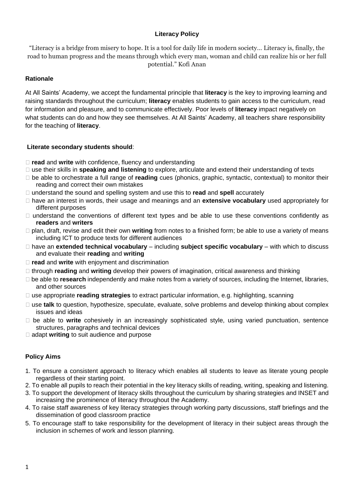# **Literacy Policy**

"Literacy is a bridge from misery to hope. It is a tool for daily life in modern society… Literacy is, finally, the road to human progress and the means through which every man, woman and child can realize his or her full potential." Kofi Anan

# **Rationale**

At All Saints' Academy, we accept the fundamental principle that **literacy** is the key to improving learning and raising standards throughout the curriculum; **literacy** enables students to gain access to the curriculum, read for information and pleasure, and to communicate effectively. Poor levels of **literacy** impact negatively on what students can do and how they see themselves. At All Saints' Academy, all teachers share responsibility for the teaching of **literacy**.

# **Literate secondary students should**:

- □ **read** and **write** with confidence, fluency and understanding
- use their skills in **speaking and listening** to explore, articulate and extend their understanding of texts
- be able to orchestrate a full range of **reading** cues (phonics, graphic, syntactic, contextual) to monitor their reading and correct their own mistakes
- understand the sound and spelling system and use this to **read** and **spell** accurately
- have an interest in words, their usage and meanings and an **extensive vocabulary** used appropriately for different purposes
- $\Box$  understand the conventions of different text types and be able to use these conventions confidently as **readers** and **writers**
- plan, draft, revise and edit their own **writing** from notes to a finished form; be able to use a variety of means including ICT to produce texts for different audiences
- have an **extended technical vocabulary** including **subject specific vocabulary** with which to discuss and evaluate their **reading** and **writing**
- **read** and **write** with enjoyment and discrimination
- through **reading** and **writing** develop their powers of imagination, critical awareness and thinking
- be able to **research** independently and make notes from a variety of sources, including the Internet, libraries, and other sources
- use appropriate **reading strategies** to extract particular information, e.g. highlighting, scanning
- □ use **talk** to question, hypothesize, speculate, evaluate, solve problems and develop thinking about complex issues and ideas
- be able to **write** cohesively in an increasingly sophisticated style, using varied punctuation, sentence structures, paragraphs and technical devices
- □ adapt **writing** to suit audience and purpose

# **Policy Aims**

- 1. To ensure a consistent approach to literacy which enables all students to leave as literate young people regardless of their starting point.
- 2. To enable all pupils to reach their potential in the key literacy skills of reading, writing, speaking and listening.
- 3. To support the development of literacy skills throughout the curriculum by sharing strategies and INSET and increasing the prominence of literacy throughout the Academy.
- 4. To raise staff awareness of key literacy strategies through working party discussions, staff briefings and the dissemination of good classroom practice
- 5. To encourage staff to take responsibility for the development of literacy in their subject areas through the inclusion in schemes of work and lesson planning.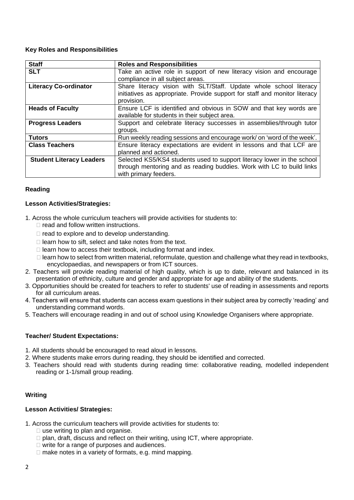### **Key Roles and Responsibilities**

| <b>Staff</b>                    | <b>Roles and Responsibilities</b>                                          |
|---------------------------------|----------------------------------------------------------------------------|
| <b>SLT</b>                      | Take an active role in support of new literacy vision and encourage        |
|                                 | compliance in all subject areas.                                           |
| <b>Literacy Co-ordinator</b>    | Share literacy vision with SLT/Staff. Update whole school literacy         |
|                                 | initiatives as appropriate. Provide support for staff and monitor literacy |
|                                 | provision.                                                                 |
| <b>Heads of Faculty</b>         | Ensure LCF is identified and obvious in SOW and that key words are         |
|                                 | available for students in their subject area.                              |
| <b>Progress Leaders</b>         | Support and celebrate literacy successes in assemblies/through tutor       |
|                                 | groups.                                                                    |
| <b>Tutors</b>                   | Run weekly reading sessions and encourage work/ on 'word of the week'.     |
| <b>Class Teachers</b>           | Ensure literacy expectations are evident in lessons and that LCF are       |
|                                 | planned and actioned.                                                      |
| <b>Student Literacy Leaders</b> | Selected KS5/KS4 students used to support literacy lower in the school     |
|                                 | through mentoring and as reading buddies. Work with LC to build links      |
|                                 | with primary feeders.                                                      |

### **Reading**

### **Lesson Activities/Strategies:**

- 1. Across the whole curriculum teachers will provide activities for students to:
	- $\Box$  read and follow written instructions.
	- $\Box$  read to explore and to develop understanding.
	- $\Box$  learn how to sift, select and take notes from the text.
	- $\Box$  learn how to access their textbook, including format and index.
	- $\Box$  learn how to select from written material, reformulate, question and challenge what they read in textbooks, encyclopaedias, and newspapers or from ICT sources.
- 2. Teachers will provide reading material of high quality, which is up to date, relevant and balanced in its presentation of ethnicity, culture and gender and appropriate for age and ability of the students.
- 3. Opportunities should be created for teachers to refer to students' use of reading in assessments and reports for all curriculum areas.
- 4. Teachers will ensure that students can access exam questions in their subject area by correctly 'reading' and understanding command words.
- 5. Teachers will encourage reading in and out of school using Knowledge Organisers where appropriate.

# **Teacher/ Student Expectations:**

- 1. All students should be encouraged to read aloud in lessons.
- 2. Where students make errors during reading, they should be identified and corrected.
- 3. Teachers should read with students during reading time: collaborative reading, modelled independent reading or 1-1/small group reading.

# **Writing**

### **Lesson Activities/ Strategies:**

1. Across the curriculum teachers will provide activities for students to:

- $\Box$  use writing to plan and organise.
- $\Box$  plan, draft, discuss and reflect on their writing, using ICT, where appropriate.
- □ write for a range of purposes and audiences.
- $\Box$  make notes in a variety of formats, e.g. mind mapping.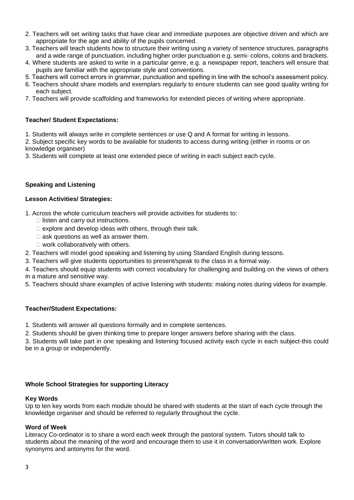- 2. Teachers will set writing tasks that have clear and immediate purposes are objective driven and which are appropriate for the age and ability of the pupils concerned.
- 3. Teachers will teach students how to structure their writing using a variety of sentence structures, paragraphs and a wide range of punctuation, including higher order punctuation e.g. semi- colons, colons and brackets.
- 4. Where students are asked to write in a particular genre, e.g. a newspaper report, teachers will ensure that pupils are familiar with the appropriate style and conventions.
- 5. Teachers will correct errors in grammar, punctuation and spelling in line with the school's assessment policy.
- 6. Teachers should share models and exemplars regularly to ensure students can see good quality writing for each subject.
- 7. Teachers will provide scaffolding and frameworks for extended pieces of writing where appropriate.

## **Teacher/ Student Expectations:**

- 1. Students will always write in complete sentences or use Q and A format for writing in lessons.
- 2. Subject specific key words to be available for students to access during writing (either in rooms or on knowledge organiser)
- 3. Students will complete at least one extended piece of writing in each subject each cycle.

### **Speaking and Listening**

### **Lesson Activities/ Strategies:**

1. Across the whole curriculum teachers will provide activities for students to:

- $\Box$  listen and carry out instructions.
- $\Box$  explore and develop ideas with others, through their talk.
- $\Box$  ask questions as well as answer them.
- $\Box$  work collaboratively with others.
- 2. Teachers will model good speaking and listening by using Standard English during lessons.
- 3. Teachers will give students opportunities to present/speak to the class in a formal way.

4. Teachers should equip students with correct vocabulary for challenging and building on the views of others in a mature and sensitive way.

5. Teachers should share examples of active listening with students: making notes during videos for example.

# **Teacher/Student Expectations:**

- 1. Students will answer all questions formally and in complete sentences.
- 2. Students should be given thinking time to prepare longer answers before sharing with the class.

3. Students will take part in one speaking and listening focused activity each cycle in each subject-this could be in a group or independently.

### **Whole School Strategies for supporting Literacy**

### **Key Words**

Up to ten key words from each module should be shared with students at the start of each cycle through the knowledge organiser and should be referred to regularly throughout the cycle.

### **Word of Week**

Literacy Co-ordinator is to share a word each week through the pastoral system. Tutors should talk to students about the meaning of the word and encourage them to use it in conversation/written work. Explore synonyms and antonyms for the word.